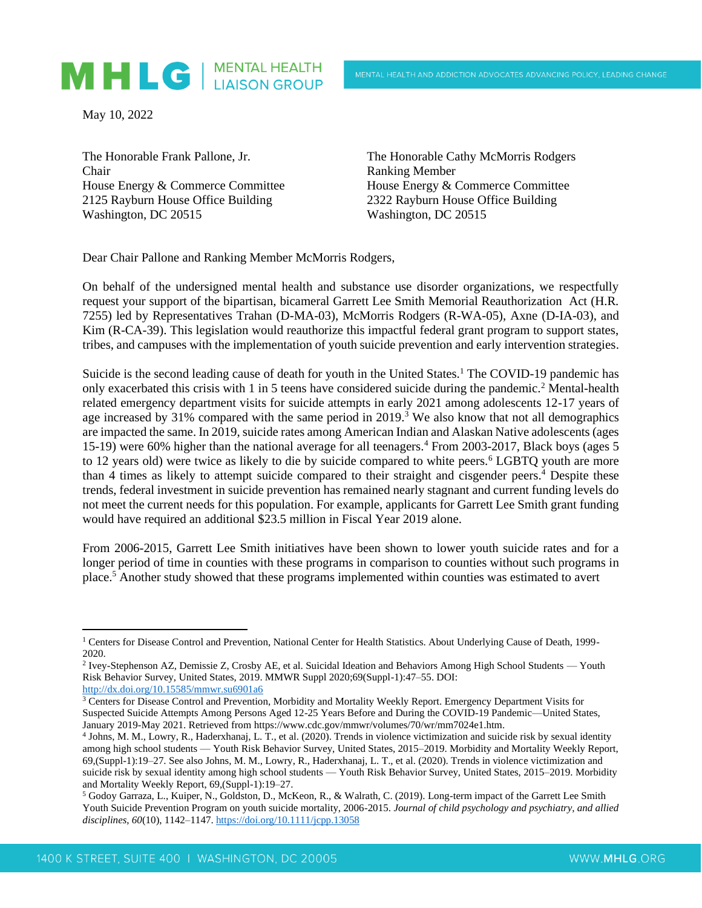## MHLG | MENTAL HEALTH

May 10, 2022

The Honorable Frank Pallone, Jr. Chair House Energy & Commerce Committee 2125 Rayburn House Office Building Washington, DC 20515

The Honorable Cathy McMorris Rodgers Ranking Member House Energy & Commerce Committee 2322 Rayburn House Office Building Washington, DC 20515

Dear Chair Pallone and Ranking Member McMorris Rodgers,

On behalf of the undersigned mental health and substance use disorder organizations, we respectfully request your support of the bipartisan, bicameral Garrett Lee Smith Memorial Reauthorization Act (H.R. 7255) led by Representatives Trahan (D-MA-03), McMorris Rodgers (R-WA-05), Axne (D-IA-03), and Kim (R-CA-39). This legislation would reauthorize this impactful federal grant program to support states, tribes, and campuses with the implementation of youth suicide prevention and early intervention strategies.

Suicide is the second leading cause of death for youth in the United States.<sup>1</sup> The COVID-19 pandemic has only exacerbated this crisis with 1 in 5 teens have considered suicide during the pandemic.<sup>2</sup> Mental-health related emergency department visits for suicide attempts in early 2021 among adolescents 12-17 years of age increased by  $31\%$  compared with the same period in 2019.<sup>3</sup> We also know that not all demographics are impacted the same. In 2019, suicide rates among American Indian and Alaskan Native adolescents (ages 15-19) were 60% higher than the national average for all teenagers.<sup>4</sup> From 2003-2017, Black boys (ages 5 to 12 years old) were twice as likely to die by suicide compared to white peers.<sup>6</sup> LGBTQ youth are more than 4 times as likely to attempt suicide compared to their straight and cisgender peers.<sup>4</sup> Despite these trends, federal investment in suicide prevention has remained nearly stagnant and current funding levels do not meet the current needs for this population. For example, applicants for Garrett Lee Smith grant funding would have required an additional \$23.5 million in Fiscal Year 2019 alone.

From 2006-2015, Garrett Lee Smith initiatives have been shown to lower youth suicide rates and for a longer period of time in counties with these programs in comparison to counties without such programs in place.<sup>5</sup> Another study showed that these programs implemented within counties was estimated to avert

<sup>&</sup>lt;sup>1</sup> Centers for Disease Control and Prevention, National Center for Health Statistics. About Underlying Cause of Death, 1999-2020.

<sup>&</sup>lt;sup>2</sup> Ivey-Stephenson AZ, Demissie Z, Crosby AE, et al. Suicidal Ideation and Behaviors Among High School Students — Youth Risk Behavior Survey, United States, 2019. MMWR Suppl 2020;69(Suppl-1):47–55. DOI: <http://dx.doi.org/10.15585/mmwr.su6901a6>

 $3$  Centers for Disease Control and Prevention, Morbidity and Mortality Weekly Report. Emergency Department Visits for Suspected Suicide Attempts Among Persons Aged 12-25 Years Before and During the COVID-19 Pandemic—United States, January 2019-May 2021. Retrieved fro[m https://www.cdc.gov/mmwr/volumes/70/wr/mm7024e1.htm.](https://www.cdc.gov/mmwr/volumes/70/wr/mm7024e1.htm)

<sup>4</sup> Johns, M. M., Lowry, R., Haderxhanaj, L. T., et al. (2020). Trends in violence victimization and suicide risk by sexual identity among high school students — Youth Risk Behavior Survey, United States, 2015–2019. Morbidity and Mortality Weekly Report, 69,(Suppl-1):19–27. See also Johns, M. M., Lowry, R., Haderxhanaj, L. T., et al. (2020). Trends in violence victimization and suicide risk by sexual identity among high school students — Youth Risk Behavior Survey, United States, 2015–2019. Morbidity and Mortality Weekly Report, 69,(Suppl-1):19–27.

<sup>5</sup> Godoy Garraza, L., Kuiper, N., Goldston, D., McKeon, R., & Walrath, C. (2019). Long-term impact of the Garrett Lee Smith Youth Suicide Prevention Program on youth suicide mortality, 2006-2015. *Journal of child psychology and psychiatry, and allied disciplines*, *60*(10), 1142–1147[. https://doi.org/10.1111/jcpp.13058](https://doi.org/10.1111/jcpp.13058)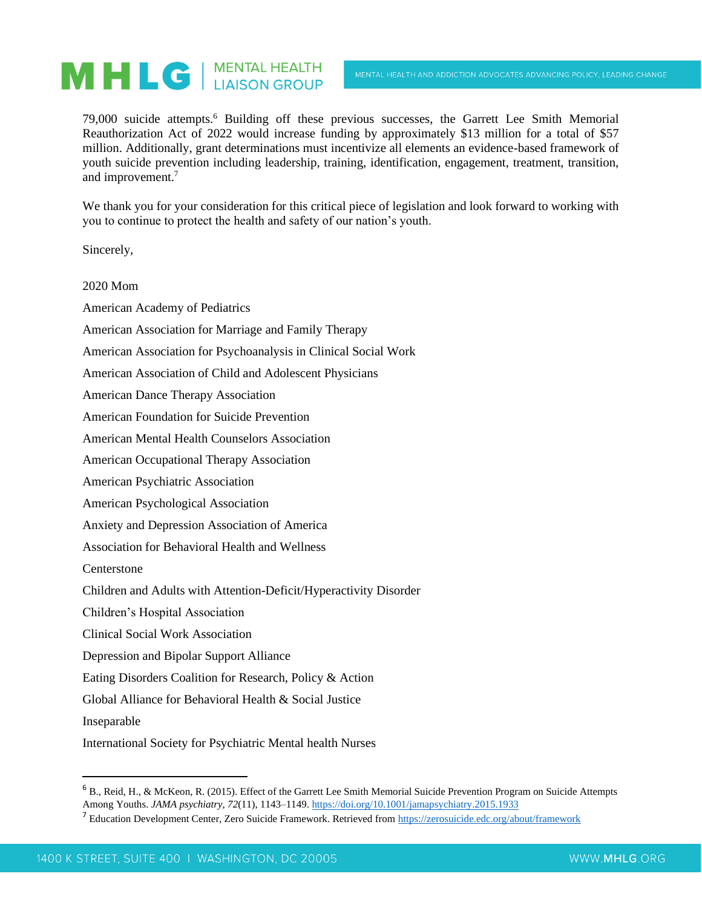## MHLG | MENTAL HEALTH

79,000 suicide attempts.<sup>6</sup> Building off these previous successes, the Garrett Lee Smith Memorial Reauthorization Act of 2022 would increase funding by approximately \$13 million for a total of \$57 million. Additionally, grant determinations must incentivize all elements an evidence-based framework of youth suicide prevention including leadership, training, identification, engagement, treatment, transition, and improvement.<sup>7</sup>

We thank you for your consideration for this critical piece of legislation and look forward to working with you to continue to protect the health and safety of our nation's youth.

Sincerely,

2020 Mom

American Academy of Pediatrics

American Association for Marriage and Family Therapy

American Association for Psychoanalysis in Clinical Social Work

American Association of Child and Adolescent Physicians

American Dance Therapy Association

American Foundation for Suicide Prevention

American Mental Health Counselors Association

American Occupational Therapy Association

American Psychiatric Association

American Psychological Association

Anxiety and Depression Association of America

Association for Behavioral Health and Wellness

Centerstone

Children and Adults with Attention-Deficit/Hyperactivity Disorder

Children's Hospital Association

Clinical Social Work Association

Depression and Bipolar Support Alliance

Eating Disorders Coalition for Research, Policy & Action

Global Alliance for Behavioral Health & Social Justice

Inseparable

International Society for Psychiatric Mental health Nurses

<sup>6</sup> B., Reid, H., & McKeon, R. (2015). Effect of the Garrett Lee Smith Memorial Suicide Prevention Program on Suicide Attempts Among Youths. *JAMA psychiatry*, *72*(11), 1143–1149.<https://doi.org/10.1001/jamapsychiatry.2015.1933>

<sup>&</sup>lt;sup>7</sup> Education Development Center, Zero Suicide Framework. Retrieved from<https://zerosuicide.edc.org/about/framework>